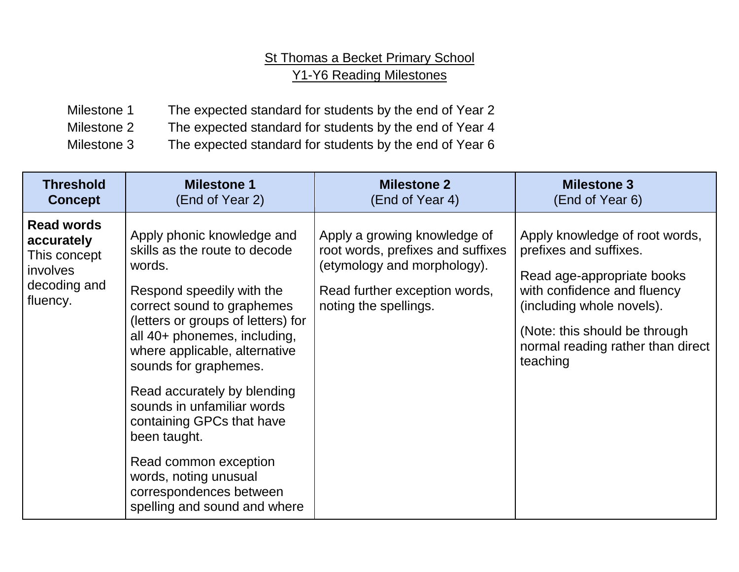## St Thomas a Becket Primary School Y1-Y6 Reading Milestones

Milestone 1 The expected standard for students by the end of Year 2 Milestone 2 The expected standard for students by the end of Year 4 Milestone 3 The expected standard for students by the end of Year 6

| <b>Threshold</b>                                                                        | <b>Milestone 1</b>                                                                                                                                                                                                                                                                                                                                                                                                                                                                      | <b>Milestone 2</b>                                                                                                                                         | <b>Milestone 3</b>                                                                                                                                                                                                                   |
|-----------------------------------------------------------------------------------------|-----------------------------------------------------------------------------------------------------------------------------------------------------------------------------------------------------------------------------------------------------------------------------------------------------------------------------------------------------------------------------------------------------------------------------------------------------------------------------------------|------------------------------------------------------------------------------------------------------------------------------------------------------------|--------------------------------------------------------------------------------------------------------------------------------------------------------------------------------------------------------------------------------------|
| <b>Concept</b>                                                                          | (End of Year 2)                                                                                                                                                                                                                                                                                                                                                                                                                                                                         | (End of Year 4)                                                                                                                                            | (End of Year 6)                                                                                                                                                                                                                      |
| <b>Read words</b><br>accurately<br>This concept<br>involves<br>decoding and<br>fluency. | Apply phonic knowledge and<br>skills as the route to decode<br>words.<br>Respond speedily with the<br>correct sound to graphemes<br>(letters or groups of letters) for<br>all 40+ phonemes, including,<br>where applicable, alternative<br>sounds for graphemes.<br>Read accurately by blending<br>sounds in unfamiliar words<br>containing GPCs that have<br>been taught.<br>Read common exception<br>words, noting unusual<br>correspondences between<br>spelling and sound and where | Apply a growing knowledge of<br>root words, prefixes and suffixes<br>(etymology and morphology).<br>Read further exception words,<br>noting the spellings. | Apply knowledge of root words,<br>prefixes and suffixes.<br>Read age-appropriate books<br>with confidence and fluency<br>(including whole novels).<br>(Note: this should be through<br>normal reading rather than direct<br>teaching |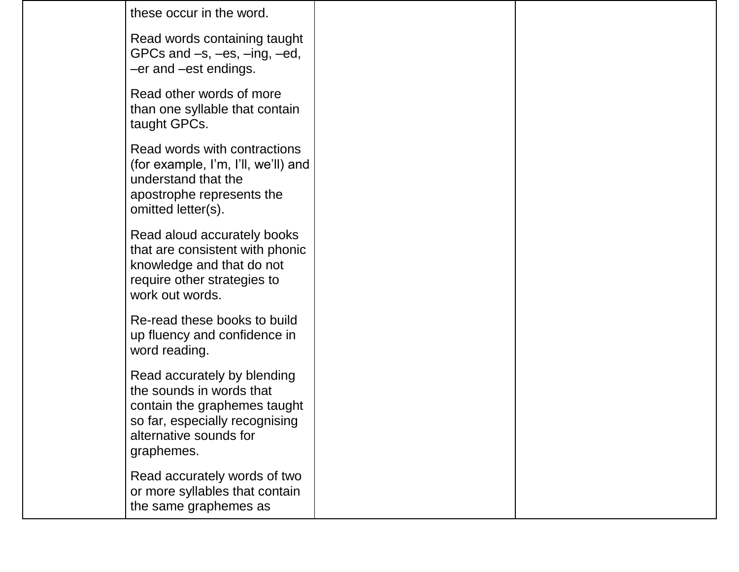these occur in the word.

Read words containing taught GPCs and –s, –es, –ing, –ed, –er and –est endings.

Read other words of more than one syllable that contain taught GPCs.

Read words with contractions (for example, I'm, I'll, we'll) and understand that the apostrophe represents the omitted letter(s).

Read aloud accurately books that are consistent with phonic knowledge and that do not require other strategies to work out words.

Re-read these books to build up fluency and confidence in word reading.

Read accurately by blending the sounds in words that contain the graphemes taught so far, especially recognising alternative sounds for graphemes.

Read accurately words of two or more syllables that contain the same graphemes as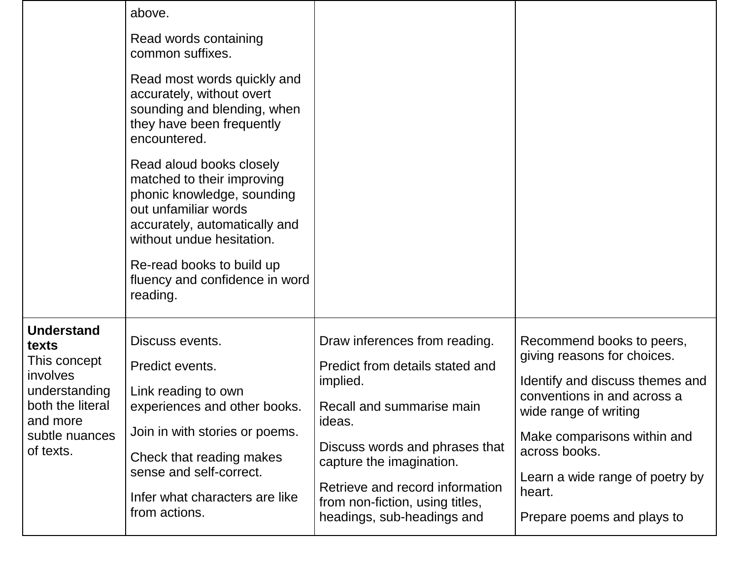|                                                                                                                                        | above.<br>Read words containing<br>common suffixes.<br>Read most words quickly and<br>accurately, without overt<br>sounding and blending, when<br>they have been frequently<br>encountered.<br>Read aloud books closely               |                                                                                                                                                                                                                                                                                       |                                                                                                                                                                                                                                                                                |
|----------------------------------------------------------------------------------------------------------------------------------------|---------------------------------------------------------------------------------------------------------------------------------------------------------------------------------------------------------------------------------------|---------------------------------------------------------------------------------------------------------------------------------------------------------------------------------------------------------------------------------------------------------------------------------------|--------------------------------------------------------------------------------------------------------------------------------------------------------------------------------------------------------------------------------------------------------------------------------|
|                                                                                                                                        | matched to their improving<br>phonic knowledge, sounding<br>out unfamiliar words<br>accurately, automatically and<br>without undue hesitation.<br>Re-read books to build up<br>fluency and confidence in word<br>reading.             |                                                                                                                                                                                                                                                                                       |                                                                                                                                                                                                                                                                                |
| <b>Understand</b><br>texts<br>This concept<br>involves<br>understanding<br>both the literal<br>and more<br>subtle nuances<br>of texts. | Discuss events.<br>Predict events.<br>Link reading to own<br>experiences and other books.<br>Join in with stories or poems.<br>Check that reading makes<br>sense and self-correct.<br>Infer what characters are like<br>from actions. | Draw inferences from reading.<br>Predict from details stated and<br>implied.<br>Recall and summarise main<br>ideas.<br>Discuss words and phrases that<br>capture the imagination.<br>Retrieve and record information<br>from non-fiction, using titles,<br>headings, sub-headings and | Recommend books to peers,<br>giving reasons for choices.<br>Identify and discuss themes and<br>conventions in and across a<br>wide range of writing<br>Make comparisons within and<br>across books.<br>Learn a wide range of poetry by<br>heart.<br>Prepare poems and plays to |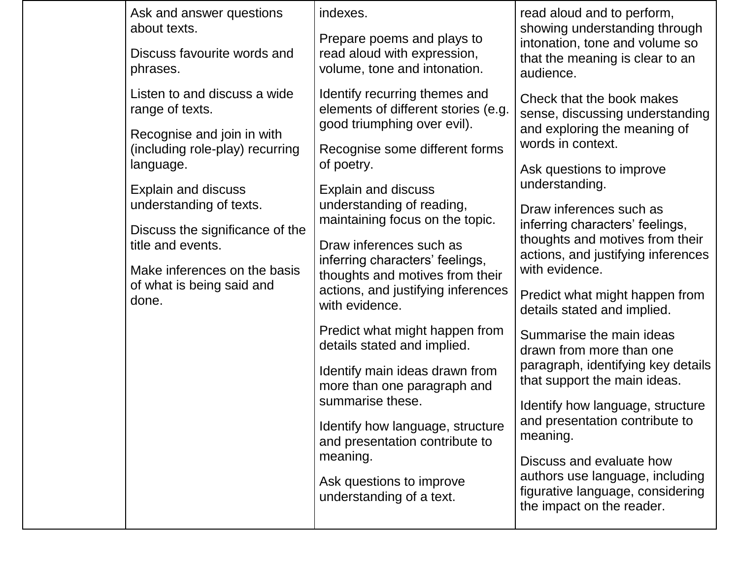|  | Ask and answer questions<br>about texts.                                                                                                              | indexes.                                                                                                                                              | read aloud and to perform,<br>showing understanding through                                                                                                                                                    |
|--|-------------------------------------------------------------------------------------------------------------------------------------------------------|-------------------------------------------------------------------------------------------------------------------------------------------------------|----------------------------------------------------------------------------------------------------------------------------------------------------------------------------------------------------------------|
|  | Discuss favourite words and<br>phrases.                                                                                                               | Prepare poems and plays to<br>read aloud with expression,<br>volume, tone and intonation.                                                             | intonation, tone and volume so<br>that the meaning is clear to an<br>audience.                                                                                                                                 |
|  | Listen to and discuss a wide<br>range of texts.                                                                                                       | Identify recurring themes and<br>elements of different stories (e.g.<br>good triumphing over evil).                                                   | Check that the book makes<br>sense, discussing understanding                                                                                                                                                   |
|  | Recognise and join in with<br>(including role-play) recurring<br>language.                                                                            | Recognise some different forms<br>of poetry.                                                                                                          | and exploring the meaning of<br>words in context.<br>Ask questions to improve                                                                                                                                  |
|  | <b>Explain and discuss</b>                                                                                                                            | <b>Explain and discuss</b>                                                                                                                            | understanding.                                                                                                                                                                                                 |
|  | understanding of texts.<br>Discuss the significance of the<br>title and events.<br>Make inferences on the basis<br>of what is being said and<br>done. | understanding of reading,<br>maintaining focus on the topic.                                                                                          | Draw inferences such as<br>inferring characters' feelings,<br>thoughts and motives from their<br>actions, and justifying inferences<br>with evidence.                                                          |
|  |                                                                                                                                                       | Draw inferences such as<br>inferring characters' feelings,<br>thoughts and motives from their<br>actions, and justifying inferences<br>with evidence. |                                                                                                                                                                                                                |
|  |                                                                                                                                                       |                                                                                                                                                       | Predict what might happen from<br>details stated and implied.                                                                                                                                                  |
|  |                                                                                                                                                       | Predict what might happen from<br>details stated and implied.                                                                                         | Summarise the main ideas<br>drawn from more than one<br>paragraph, identifying key details<br>that support the main ideas.                                                                                     |
|  |                                                                                                                                                       | Identify main ideas drawn from<br>more than one paragraph and<br>summarise these.                                                                     |                                                                                                                                                                                                                |
|  |                                                                                                                                                       |                                                                                                                                                       | Identify how language, structure<br>and presentation contribute to<br>meaning.<br>Discuss and evaluate how<br>authors use language, including<br>figurative language, considering<br>the impact on the reader. |
|  |                                                                                                                                                       | Identify how language, structure<br>and presentation contribute to                                                                                    |                                                                                                                                                                                                                |
|  |                                                                                                                                                       | meaning.<br>Ask questions to improve<br>understanding of a text.                                                                                      |                                                                                                                                                                                                                |